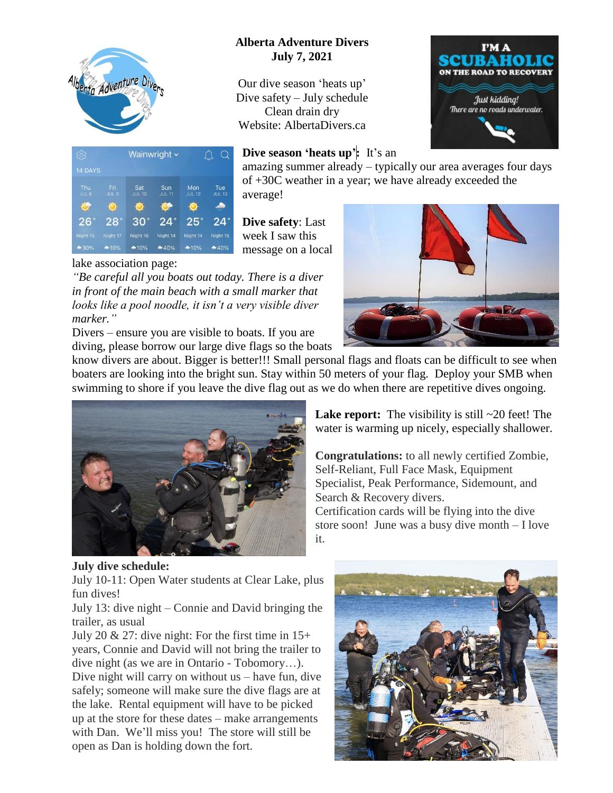

## **Alberta Adventure Divers July 7, 2021**

Our dive season 'heats up' Dive safety – July schedule Clean drain dry Website: AlbertaDivers.ca



## **Dive season 'heats up':** It's an  $QQ$ Wainwright ~ amazing summer already – typically our area averages four days 14 DAYS of +30C weather in a year; we have already exceeded the Tue<br>JUL 13 average!  $\mathbf{G}$  $\bullet$  $26^\circ$  $28°$  $30^\circ$  $24<sup>°</sup>$ 25  $24^\circ$ **Dive safety**: Last Night 15 week I saw this  $-10%$  $-40%$ message on a local

## lake association page:

*"Be careful all you boats out today. There is a diver in front of the main beach with a small marker that looks like a pool noodle, it isn't a very visible diver marker."*

Divers – ensure you are visible to boats. If you are diving, please borrow our large dive flags so the boats



know divers are about. Bigger is better!!! Small personal flags and floats can be difficult to see when boaters are looking into the bright sun. Stay within 50 meters of your flag. Deploy your SMB when swimming to shore if you leave the dive flag out as we do when there are repetitive dives ongoing.



Lake report: The visibility is still  $\sim$ 20 feet! The water is warming up nicely, especially shallower.

**Congratulations:** to all newly certified Zombie, Self-Reliant, Full Face Mask, Equipment Specialist, Peak Performance, Sidemount, and Search & Recovery divers.

Certification cards will be flying into the dive store soon! June was a busy dive month – I love it.

## **July dive schedule:**

July 10-11: Open Water students at Clear Lake, plus fun dives!

July 13: dive night – Connie and David bringing the trailer, as usual

July 20  $\&$  27: dive night: For the first time in 15+ years, Connie and David will not bring the trailer to dive night (as we are in Ontario - Tobomory…). Dive night will carry on without us – have fun, dive safely; someone will make sure the dive flags are at the lake. Rental equipment will have to be picked up at the store for these dates – make arrangements with Dan. We'll miss you! The store will still be open as Dan is holding down the fort.